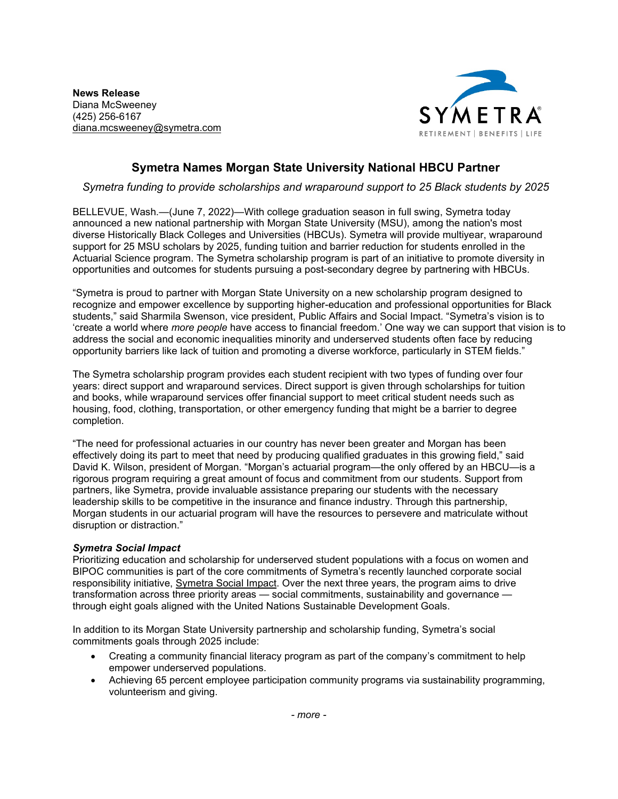**News Release** Diana McSweeney (425) 256-6167 [diana.mcsweeney@symetra.com](mailto:diana.mcsweeney@symetra.com)



## **Symetra Names Morgan State University National HBCU Partner**

*Symetra funding to provide scholarships and wraparound support to 25 Black students by 2025*

BELLEVUE, Wash.—(June 7, 2022)—With college graduation season in full swing, Symetra today announced a new national partnership with Morgan State University (MSU), among the nation's most diverse Historically Black Colleges and Universities (HBCUs). Symetra will provide multiyear, wraparound support for 25 MSU scholars by 2025, funding tuition and barrier reduction for students enrolled in the Actuarial Science program. The Symetra scholarship program is part of an initiative to promote diversity in opportunities and outcomes for students pursuing a post-secondary degree by partnering with HBCUs.

"Symetra is proud to partner with Morgan State University on a new scholarship program designed to recognize and empower excellence by supporting higher-education and professional opportunities for Black students," said Sharmila Swenson, vice president, Public Affairs and Social Impact. "Symetra's vision is to 'create a world where *more people* have access to financial freedom.' One way we can support that vision is to address the social and economic inequalities minority and underserved students often face by reducing opportunity barriers like lack of tuition and promoting a diverse workforce, particularly in STEM fields."

The Symetra scholarship program provides each student recipient with two types of funding over four years: direct support and wraparound services. Direct support is given through scholarships for tuition and books, while wraparound services offer financial support to meet critical student needs such as housing, food, clothing, transportation, or other emergency funding that might be a barrier to degree completion.

"The need for professional actuaries in our country has never been greater and Morgan has been effectively doing its part to meet that need by producing qualified graduates in this growing field," said David K. Wilson, president of Morgan. "Morgan's actuarial program—the only offered by an HBCU—is a rigorous program requiring a great amount of focus and commitment from our students. Support from partners, like Symetra, provide invaluable assistance preparing our students with the necessary leadership skills to be competitive in the insurance and finance industry. Through this partnership, Morgan students in our actuarial program will have the resources to persevere and matriculate without disruption or distraction."

## *Symetra Social Impact*

Prioritizing education and scholarship for underserved student populations with a focus on women and BIPOC communities is part of the core commitments of Symetra's recently launched corporate social responsibility initiative, [Symetra Social Impact.](https://www.symetra.com/about-us/about-symetra/symetra-social-impact) Over the next three years, the program aims to drive transformation across three priority areas — social commitments, sustainability and governance through eight goals aligned with the United Nations Sustainable Development Goals.

In addition to its Morgan State University partnership and scholarship funding, Symetra's social commitments goals through 2025 include:

- Creating a community financial literacy program as part of the company's commitment to help empower underserved populations.
- Achieving 65 percent employee participation community programs via sustainability programming, volunteerism and giving.